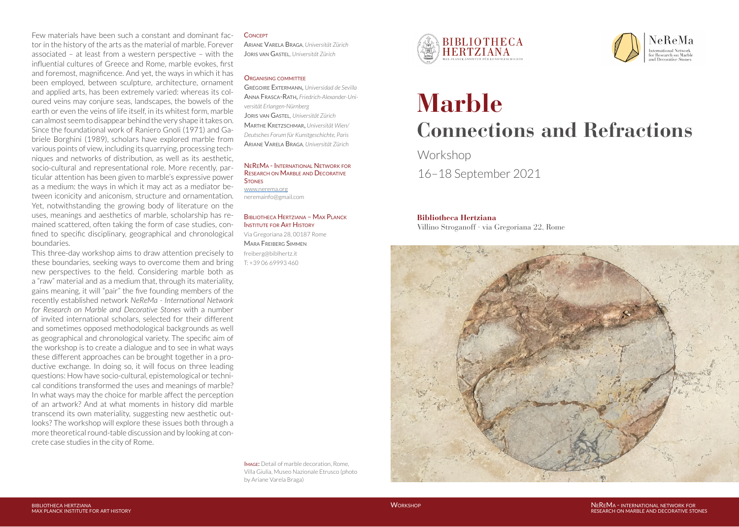Few materials have been such a constant and dominant factor in the history of the arts as the material of marble. Forever associated – at least from a western perspective – with the influential cultures of Greece and Rome, marble evokes, first and foremost, magnificence. And yet, the ways in which it has been employed, between sculpture, architecture, ornament and applied arts, has been extremely varied: whereas its coloured veins may conjure seas, landscapes, the bowels of the earth or even the veins of life itself, in its whitest form, marble can almost seem to disappear behind the very shape it takes on. Since the foundational work of Raniero Gnoli (1971) and Gabriele Borghini (1989), scholars have explored marble from various points of view, including its quarrying, processing techniques and networks of distribution, as well as its aesthetic, socio-cultural and representational role. More recently, particular attention has been given to marble's expressive power as a medium: the ways in which it may act as a mediator between iconicity and aniconism, structure and ornamentation. Yet, notwithstanding the growing body of literature on the uses, meanings and aesthetics of marble, scholarship has remained scattered, often taking the form of case studies, confined to specific disciplinary, geographical and chronological boundaries.

This three-day workshop aims to draw attention precisely to these boundaries, seeking ways to overcome them and bring new perspectives to the field. Considering marble both as a "raw" material and as a medium that, through its materiality, gains meaning, it will "pair" the five founding members of the recently established network *NeReMa - International Network for Research on Marble and Decorative Stones* with a number of invited international scholars, selected for their different and sometimes opposed methodological backgrounds as well as geographical and chronological variety. The specific aim of the workshop is to create a dialogue and to see in what ways these different approaches can be brought together in a productive exchange. In doing so, it will focus on three leading questions: How have socio-cultural, epistemological or technical conditions transformed the uses and meanings of marble? In what ways may the choice for marble affect the perception of an artwork? And at what moments in history did marble transcend its own materiality, suggesting new aesthetic outlooks? The workshop will explore these issues both through a more theoretical round-table discussion and by looking at concrete case studies in the city of Rome.

#### **CONCEPT**

Ariane Varela Braga*, Universität Zürich* Joris van Gastel, *Universität Zürich*

#### ORGANISING COMMITTEE

Grégoire Extermann, *Universidad de Sevilla*  Anna Frasca-Rath, *Friedrich-Alexander-Universität Erlangen-Nürnberg* Joris van Gastel, *Universität Zürich* Marthe Kretzschmar, *Universität Wien/ Deutsches Forum für Kunstgeschichte, Paris* Ariane Varela Braga*, Universität Zürich*

#### NeReMa - International Network for Research on Marble and Decorative **STONES**

[www.nerema.org](http://www.nerema.org) neremainfo@gmail.com

T: +39 06 69993 460

### Bibliotheca Hertziana – Max Planck Institute for Art History

Via Gregoriana 28, 00187 Rome Mara Freiberg Simmen freiberg@biblhertz.it

**BIBLIOTHECA HERTZIANA** 



# **Marble Connections and Refractions**

Workshop 16–18 September 2021

# **Bibliotheca Hertziana**

Villino Stroganoff · via Gregoriana 22, Rome



Image: Detail of marble decoration, Rome, Villa Giulia, Museo Nazionale Etrusco (photo by Ariane Varela Braga)